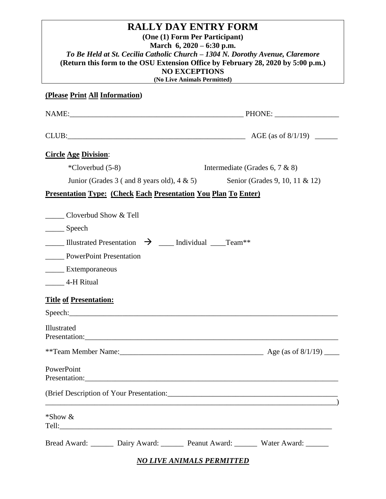| <b>RALLY DAY ENTRY FORM</b><br>(One (1) Form Per Participant)<br>March $6, 2020 - 6:30$ p.m.<br>To Be Held at St. Cecilia Catholic Church - 1304 N. Dorothy Avenue, Claremore<br>(Return this form to the OSU Extension Office by February 28, 2020 by 5:00 p.m.)<br><b>NO EXCEPTIONS</b><br>(No Live Animals Permitted) |                                |  |  |
|--------------------------------------------------------------------------------------------------------------------------------------------------------------------------------------------------------------------------------------------------------------------------------------------------------------------------|--------------------------------|--|--|
| (Please Print All Information)                                                                                                                                                                                                                                                                                           |                                |  |  |
|                                                                                                                                                                                                                                                                                                                          |                                |  |  |
|                                                                                                                                                                                                                                                                                                                          |                                |  |  |
| <b>Circle Age Division:</b>                                                                                                                                                                                                                                                                                              |                                |  |  |
| $*Cloverbud (5-8)$                                                                                                                                                                                                                                                                                                       | Intermediate (Grades 6, 7 & 8) |  |  |
| Junior (Grades 3 ( and 8 years old), $4 \& 5$ )                                                                                                                                                                                                                                                                          | Senior (Grades 9, 10, 11 & 12) |  |  |
| <b>Presentation Type: (Check Each Presentation You Plan To Enter)</b>                                                                                                                                                                                                                                                    |                                |  |  |
| Cloverbud Show & Tell<br>_______ Speech<br><b>Illustrated Presentation <math>\rightarrow</math> ___</b> Individual _____Team**<br>PowerPoint Presentation<br>Extemporaneous<br>4-H Ritual<br><b>Title of Presentation:</b><br>Illustrated                                                                                |                                |  |  |
| Presentation: <u>contract and contract and contract and contract and contract and contract and contract and contract and contract and contract and contract and contract and contract and contract and contract and contract and</u>                                                                                     |                                |  |  |
| PowerPoint<br>Presentation: Presentation:                                                                                                                                                                                                                                                                                |                                |  |  |
| <u> — постание постание по подразни при подрачите подразни при подрачите подрачите подрачите подразни при п</u>                                                                                                                                                                                                          |                                |  |  |
| *Show &                                                                                                                                                                                                                                                                                                                  |                                |  |  |
| Bread Award: Dairy Award: Peanut Award: Water Award: _______                                                                                                                                                                                                                                                             |                                |  |  |

*NO LIVE ANIMALS PERMITTED*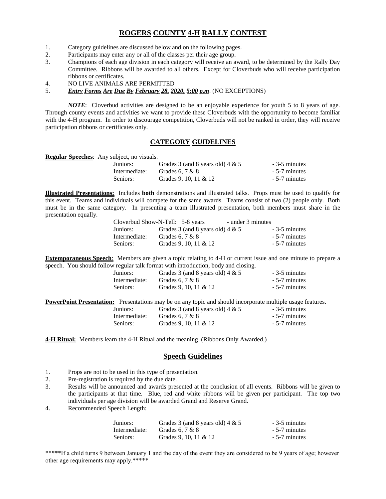### **ROGERS COUNTY 4-H RALLY CONTEST**

- 1. Category guidelines are discussed below and on the following pages.
- 2. Participants may enter any or all of the classes per their age group.
- 3. Champions of each age division in each category will receive an award, to be determined by the Rally Day Committee. Ribbons will be awarded to all others. Except for Cloverbuds who will receive participation ribbons or certificates.
- 4. NO LIVE ANIMALS ARE PERMITTED

### 5. *Entry Forms Are Due By February 28, 2020, 5:00 p.m*. (NO EXCEPTIONS)

*NOTE*: Cloverbud activities are designed to be an enjoyable experience for youth 5 to 8 years of age. Through county events and activities we want to provide these Cloverbuds with the opportunity to become familiar with the 4-H program. In order to discourage competition, Cloverbuds will not be ranked in order, they will receive participation ribbons or certificates only.

### **CATEGORY GUIDELINES**

| Regular Speeches: Any subject, no visuals. |  |  |
|--------------------------------------------|--|--|
|                                            |  |  |

| Juniors:      | Grades 3 (and 8 years old) $4 \& 5$ | - 3-5 minutes |
|---------------|-------------------------------------|---------------|
| Intermediate: | Grades 6, $7 & 8$                   | - 5-7 minutes |
| Seniors:      | Grades 9, 10, 11 & 12               | - 5-7 minutes |

**Illustrated Presentations:** Includes **both** demonstrations and illustrated talks. Props must be used to qualify for this event. Teams and individuals will compete for the same awards. Teams consist of two (2) people only. Both must be in the same category. In presenting a team illustrated presentation, both members must share in the presentation equally.

|               | Cloverbud Show-N-Tell: 5-8 years    | - under 3 minutes |               |
|---------------|-------------------------------------|-------------------|---------------|
| Juniors:      | Grades 3 (and 8 years old) $4 \& 5$ |                   | - 3-5 minutes |
| Intermediate: | Grades 6, $7 & 8$                   |                   | - 5-7 minutes |
| Seniors:      | Grades 9, 10, 11 & 12               |                   | - 5-7 minutes |

**Extemporaneous Speech**:Members are given a topic relating to 4-H or current issue and one minute to prepare a speech. You should follow regular talk format with introduction, body and closing.

| Juniors:      | Grades 3 (and 8 years old) $4 \& 5$ | - 3-5 minutes |
|---------------|-------------------------------------|---------------|
| Intermediate: | Grades 6, $7 & 8$                   | - 5-7 minutes |
| Seniors:      | Grades 9, 10, 11 & 12               | - 5-7 minutes |
|               |                                     |               |

**PowerPoint Presentation:** Presentations may be on any topic and should incorporate multiple usage features. Juniors: Grades 3 (and 8 years old)  $4 \& 5$  - 3-5 minutes

| Intermediate: | Grades 6, $7 & 8$     | - 5-7 minutes |
|---------------|-----------------------|---------------|
| Seniors:      | Grades 9, 10, 11 & 12 | - 5-7 minutes |

4-H Ritual: Members learn the 4-H Ritual and the meaning (Ribbons Only Awarded.)

### **Speech Guidelines**

- 1. Props are not to be used in this type of presentation.
- 2. Pre-registration is required by the due date.
- 3. Results will be announced and awards presented at the conclusion of all events. Ribbons will be given to the participants at that time. Blue, red and white ribbons will be given per participant. The top two individuals per age division will be awarded Grand and Reserve Grand.
- 4. Recommended Speech Length:

| Juniors:      | Grades 3 (and 8 years old) $4 \& 5$ | - 3-5 minutes |
|---------------|-------------------------------------|---------------|
| Intermediate: | Grades 6, $7 & 8$                   | - 5-7 minutes |
| Seniors:      | Grades 9, 10, 11 & 12               | - 5-7 minutes |

\*\*\*\*\*If a child turns 9 between January 1 and the day of the event they are considered to be 9 years of age; however other age requirements may apply.\*\*\*\*\*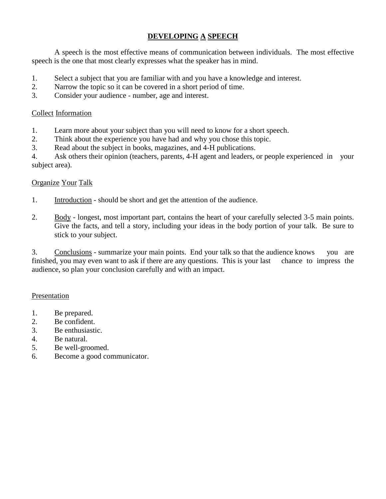## **DEVELOPING A SPEECH**

A speech is the most effective means of communication between individuals. The most effective speech is the one that most clearly expresses what the speaker has in mind.

- 1. Select a subject that you are familiar with and you have a knowledge and interest.
- 2. Narrow the topic so it can be covered in a short period of time.
- 3. Consider your audience number, age and interest.

## Collect Information

- 1. Learn more about your subject than you will need to know for a short speech.
- 2. Think about the experience you have had and why you chose this topic.
- 3. Read about the subject in books, magazines, and 4-H publications.

4. Ask others their opinion (teachers, parents, 4-H agent and leaders, or people experienced in your subject area).

### Organize Your Talk

- 1. Introduction should be short and get the attention of the audience.
- 2. Body longest, most important part, contains the heart of your carefully selected 3-5 main points. Give the facts, and tell a story, including your ideas in the body portion of your talk. Be sure to stick to your subject.

3. Conclusions - summarize your main points. End your talk so that the audience knows you are finished, you may even want to ask if there are any questions. This is your last chance to impress the audience, so plan your conclusion carefully and with an impact.

### Presentation

- 1. Be prepared.
- 2. Be confident.
- 3. Be enthusiastic.
- 4. Be natural.
- 5. Be well-groomed.
- 6. Become a good communicator.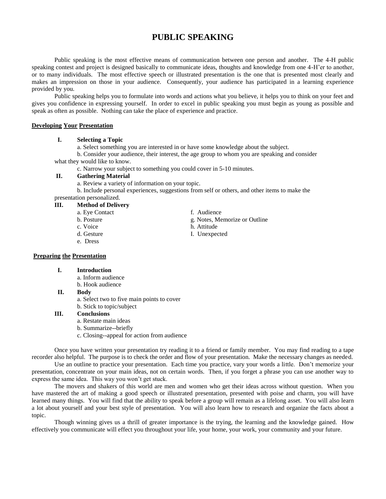## **PUBLIC SPEAKING**

Public speaking is the most effective means of communication between one person and another. The 4-H public speaking contest and project is designed basically to communicate ideas, thoughts and knowledge from one 4-H'er to another, or to many individuals. The most effective speech or illustrated presentation is the one that is presented most clearly and makes an impression on those in your audience. Consequently, your audience has participated in a learning experience provided by you.

Public speaking helps you to formulate into words and actions what you believe, it helps you to think on your feet and gives you confidence in expressing yourself. In order to excel in public speaking you must begin as young as possible and speak as often as possible. Nothing can take the place of experience and practice.

#### **Developing Your Presentation**

### **I. Selecting a Topic**

a. Select something you are interested in or have some knowledge about the subject.

b. Consider your audience, their interest, the age group to whom you are speaking and consider what they would like to know.

c. Narrow your subject to something you could cover in 5-10 minutes.

### **II. Gathering Material**

a. Review a variety of information on your topic.

b. Include personal experiences, suggestions from self or others, and other items to make the presentation personalized.

- **III. Method of Delivery**
	-
	-
	- c. Voice h. Attitude
	-
	- e. Dress

### **Preparing the Presentation**

- **I. Introduction**
	- a. Inform audience
	- b. Hook audience

### **II. Body**

- a. Select two to five main points to cover
- b. Stick to topic/subject

### **III. Conclusions**

- a. Restate main ideas
- b. Summarize--briefly
- c. Closing--appeal for action from audience

Once you have written your presentation try reading it to a friend or family member. You may find reading to a tape recorder also helpful. The purpose is to check the order and flow of your presentation. Make the necessary changes as needed.

Use an outline to practice your presentation. Each time you practice, vary your words a little. Don't memorize your presentation, concentrate on your main ideas, not on certain words. Then, if you forget a phrase you can use another way to express the same idea. This way you won't get stuck.

The movers and shakers of this world are men and women who get their ideas across without question. When you have mastered the art of making a good speech or illustrated presentation, presented with poise and charm, you will have learned many things. You will find that the ability to speak before a group will remain as a lifelong asset. You will also learn a lot about yourself and your best style of presentation. You will also learn how to research and organize the facts about a topic.

Though winning gives us a thrill of greater importance is the trying, the learning and the knowledge gained. How effectively you communicate will effect you throughout your life, your home, your work, your community and your future.

- a. Eye Contact f. Audience
- b. Posture g. Notes, Memorize or Outline
	-
- d. Gesture I. Unexpected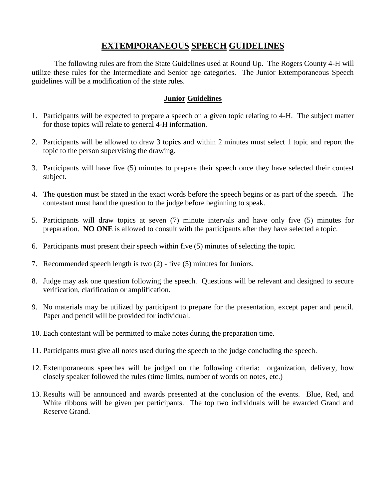## **EXTEMPORANEOUS SPEECH GUIDELINES**

The following rules are from the State Guidelines used at Round Up. The Rogers County 4-H will utilize these rules for the Intermediate and Senior age categories. The Junior Extemporaneous Speech guidelines will be a modification of the state rules.

### **Junior Guidelines**

- 1. Participants will be expected to prepare a speech on a given topic relating to 4-H. The subject matter for those topics will relate to general 4-H information.
- 2. Participants will be allowed to draw 3 topics and within 2 minutes must select 1 topic and report the topic to the person supervising the drawing.
- 3. Participants will have five (5) minutes to prepare their speech once they have selected their contest subject.
- 4. The question must be stated in the exact words before the speech begins or as part of the speech. The contestant must hand the question to the judge before beginning to speak.
- 5. Participants will draw topics at seven (7) minute intervals and have only five (5) minutes for preparation. **NO ONE** is allowed to consult with the participants after they have selected a topic.
- 6. Participants must present their speech within five (5) minutes of selecting the topic.
- 7. Recommended speech length is two (2) five (5) minutes for Juniors.
- 8. Judge may ask one question following the speech. Questions will be relevant and designed to secure verification, clarification or amplification.
- 9. No materials may be utilized by participant to prepare for the presentation, except paper and pencil. Paper and pencil will be provided for individual.
- 10. Each contestant will be permitted to make notes during the preparation time.
- 11. Participants must give all notes used during the speech to the judge concluding the speech.
- 12. Extemporaneous speeches will be judged on the following criteria: organization, delivery, how closely speaker followed the rules (time limits, number of words on notes, etc.)
- 13. Results will be announced and awards presented at the conclusion of the events. Blue, Red, and White ribbons will be given per participants. The top two individuals will be awarded Grand and Reserve Grand.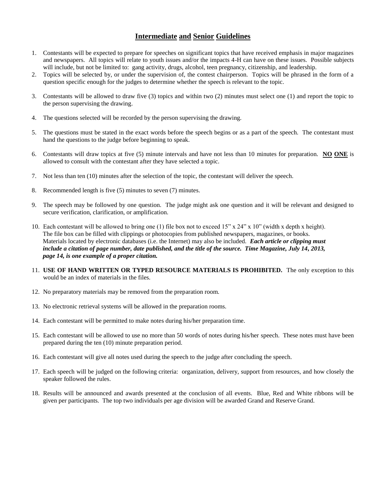### **Intermediate and Senior Guidelines**

- 1. Contestants will be expected to prepare for speeches on significant topics that have received emphasis in major magazines and newspapers. All topics will relate to youth issues and/or the impacts 4-H can have on these issues. Possible subjects will include, but not be limited to: gang activity, drugs, alcohol, teen pregnancy, citizenship, and leadership.
- 2. Topics will be selected by, or under the supervision of, the contest chairperson. Topics will be phrased in the form of a question specific enough for the judges to determine whether the speech is relevant to the topic.
- 3. Contestants will be allowed to draw five (3) topics and within two (2) minutes must select one (1) and report the topic to the person supervising the drawing.
- 4. The questions selected will be recorded by the person supervising the drawing.
- 5. The questions must be stated in the exact words before the speech begins or as a part of the speech. The contestant must hand the questions to the judge before beginning to speak.
- 6. Contestants will draw topics at five (5) minute intervals and have not less than 10 minutes for preparation. **NO ONE** is allowed to consult with the contestant after they have selected a topic.
- 7. Not less than ten (10) minutes after the selection of the topic, the contestant will deliver the speech.
- 8. Recommended length is five (5) minutes to seven (7) minutes.
- 9. The speech may be followed by one question. The judge might ask one question and it will be relevant and designed to secure verification, clarification, or amplification.
- 10. Each contestant will be allowed to bring one (1) file box not to exceed 15" x 24" x 10" (width x depth x height). The file box can be filled with clippings or photocopies from published newspapers, magazines, or books. Materials located by electronic databases (i.e. the Internet) may also be included. *Each article or clipping must include a citation of page number, date published, and the title of the source. Time Magazine, July 14, 2013, page 14, is one example of a proper citation.*
- 11. **USE OF HAND WRITTEN OR TYPED RESOURCE MATERIALS IS PROHIBITED.** The only exception to this would be an index of materials in the files.
- 12. No preparatory materials may be removed from the preparation room.
- 13. No electronic retrieval systems will be allowed in the preparation rooms.
- 14. Each contestant will be permitted to make notes during his/her preparation time.
- 15. Each contestant will be allowed to use no more than 50 words of notes during his/her speech. These notes must have been prepared during the ten (10) minute preparation period.
- 16. Each contestant will give all notes used during the speech to the judge after concluding the speech.
- 17. Each speech will be judged on the following criteria: organization, delivery, support from resources, and how closely the speaker followed the rules.
- 18. Results will be announced and awards presented at the conclusion of all events. Blue, Red and White ribbons will be given per participants. The top two individuals per age division will be awarded Grand and Reserve Grand.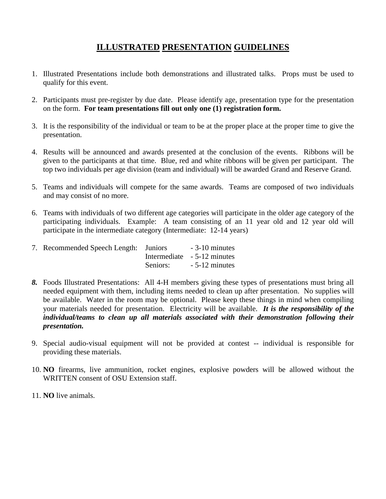# **ILLUSTRATED PRESENTATION GUIDELINES**

- 1. Illustrated Presentations include both demonstrations and illustrated talks. Props must be used to qualify for this event.
- 2. Participants must pre-register by due date. Please identify age, presentation type for the presentation on the form. **For team presentations fill out only one (1) registration form.**
- 3. It is the responsibility of the individual or team to be at the proper place at the proper time to give the presentation.
- 4. Results will be announced and awards presented at the conclusion of the events. Ribbons will be given to the participants at that time. Blue, red and white ribbons will be given per participant. The top two individuals per age division (team and individual) will be awarded Grand and Reserve Grand.
- 5. Teams and individuals will compete for the same awards. Teams are composed of two individuals and may consist of no more.
- 6. Teams with individuals of two different age categories will participate in the older age category of the participating individuals. Example: A team consisting of an 11 year old and 12 year old will participate in the intermediate category (Intermediate: 12-14 years)

| 7. Recommended Speech Length: Juniors |          | $-3-10$ minutes             |
|---------------------------------------|----------|-----------------------------|
|                                       |          | Intermediate - 5-12 minutes |
|                                       | Seniors: | $-5-12$ minutes             |

- *8.* Foods Illustrated Presentations: All 4-H members giving these types of presentations must bring all needed equipment with them, including items needed to clean up after presentation. No supplies will be available. Water in the room may be optional. Please keep these things in mind when compiling your materials needed for presentation. Electricity will be available. *It is the responsibility of the individual/teams to clean up all materials associated with their demonstration following their presentation.*
- 9. Special audio-visual equipment will not be provided at contest -- individual is responsible for providing these materials.
- 10. **NO** firearms, live ammunition, rocket engines, explosive powders will be allowed without the WRITTEN consent of OSU Extension staff.
- 11. **NO** live animals.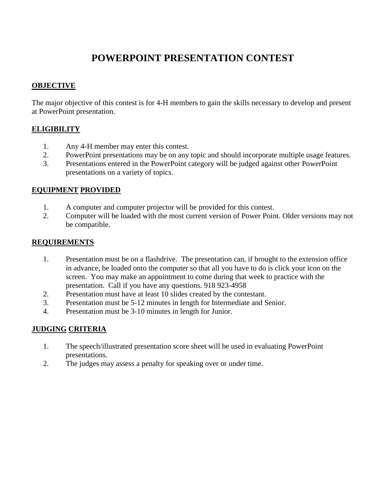# **POWERPOINT PRESENTATION CONTEST**

## **OBJECTIVE**

The major objective of this contest is for 4-H members to gain the skills necessary to develop and present at PowerPoint presentation.

## **ELIGIBILITY**

- 1. Any 4-H member may enter this contest.
- 2. PowerPoint presentations may be on any topic and should incorporate multiple usage features.
- 3. Presentations entered in the PowerPoint category will be judged against other PowerPoint presentations on a variety of topics.

### **EQUIPMENT PROVIDED**

- 1. A computer and computer projector will be provided for this contest.
- 2. Computer will be loaded with the most current version of Power Point. Older versions may not be compatible.

## **REQUIREMENTS**

- 1. Presentation must be on a flashdrive. The presentation can, if brought to the extension office in advance, be loaded onto the computer so that all you have to do is click your icon on the screen. You may make an appointment to come during that week to practice with the presentation. Call if you have any questions. 918 923-4958
- 2. Presentation must have at least 10 slides created by the contestant.
- 3. Presentation must be 5-12 minutes in length for Intermediate and Senior.
- 4. Presentation must be 3-10 minutes in length for Junior.

## **JUDGING CRITERIA**

- 1. The speech/illustrated presentation score sheet will be used in evaluating PowerPoint presentations.
- 2. The judges may assess a penalty for speaking over or under time.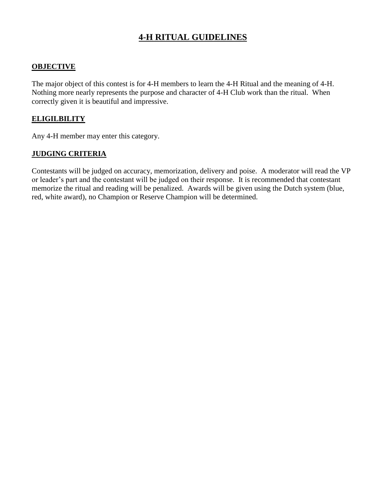# **4-H RITUAL GUIDELINES**

## **OBJECTIVE**

The major object of this contest is for 4-H members to learn the 4-H Ritual and the meaning of 4-H. Nothing more nearly represents the purpose and character of 4-H Club work than the ritual. When correctly given it is beautiful and impressive.

### **ELIGILBILITY**

Any 4-H member may enter this category.

### **JUDGING CRITERIA**

Contestants will be judged on accuracy, memorization, delivery and poise. A moderator will read the VP or leader's part and the contestant will be judged on their response. It is recommended that contestant memorize the ritual and reading will be penalized. Awards will be given using the Dutch system (blue, red, white award), no Champion or Reserve Champion will be determined.